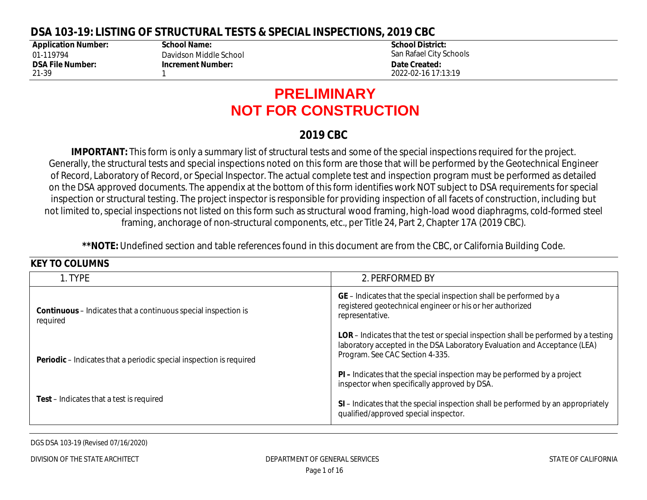#### **DSA 103-19: LISTING OF STRUCTURAL TESTS & SPECIAL INSPECTIONS, 2019 CBC**

**Application Number:** 01-119794 **DSA File Number:** 21-39

**KEY TO COLUMNIC** 

**School Name:** Davidson Middle School **Increment Number:** 1

**School District:** San Rafael City Schools **Date Created:** 2022-02-16 17:13:19

# **PRELIMINARY NOT FOR CONSTRUCTION**

#### **2019 CBC**

**IMPORTANT:** This form is only a summary list of structural tests and some of the special inspections required for the project. Generally, the structural tests and special inspections noted on this form are those that will be performed by the Geotechnical Engineer of Record, Laboratory of Record, or Special Inspector. The actual complete test and inspection program must be performed as detailed on the DSA approved documents. The appendix at the bottom of this form identifies work NOT subject to DSA requirements for special inspection or structural testing. The project inspector is responsible for providing inspection of all facets of construction, including but not limited to, special inspections not listed on this form such as structural wood framing, high-load wood diaphragms, cold-formed steel framing, anchorage of non-structural components, etc., per Title 24, Part 2, Chapter 17A (2019 CBC).

**\*\*NOTE:** Undefined section and table references found in this document are from the CBC, or California Building Code.

| NET TU GULUIVIIV.                                                                 |                                                                                                                                                                                                            |
|-----------------------------------------------------------------------------------|------------------------------------------------------------------------------------------------------------------------------------------------------------------------------------------------------------|
| 1. TYPE                                                                           | 2. PERFORMED BY                                                                                                                                                                                            |
| <b>Continuous</b> – Indicates that a continuous special inspection is<br>required | GE – Indicates that the special inspection shall be performed by a<br>registered geotechnical engineer or his or her authorized<br>representative.                                                         |
| <b>Periodic</b> – Indicates that a periodic special inspection is required        | <b>LOR</b> – Indicates that the test or special inspection shall be performed by a testing<br>laboratory accepted in the DSA Laboratory Evaluation and Acceptance (LEA)<br>Program. See CAC Section 4-335. |
|                                                                                   | <b>PI</b> – Indicates that the special inspection may be performed by a project<br>inspector when specifically approved by DSA.                                                                            |
| <b>Test</b> – Indicates that a test is required                                   | SI - Indicates that the special inspection shall be performed by an appropriately<br>qualified/approved special inspector.                                                                                 |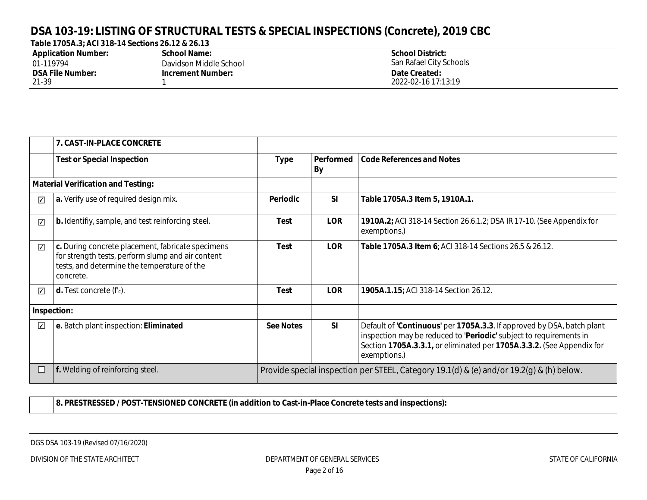### **DSA 103-19: LISTING OF STRUCTURAL TESTS & SPECIAL INSPECTIONS (Concrete), 2019 CBC**

| Table 1705A.3; ACI 318-14 Sections 26.12 & 26.13 |
|--------------------------------------------------|
|--------------------------------------------------|

| <b>Application Number:</b> | School Name:             | <b>School District:</b> |
|----------------------------|--------------------------|-------------------------|
| 01-119794                  | Davidson Middle School   | San Rafael City Schools |
| <b>DSA File Number:</b>    | <b>Increment Number:</b> | Date Created:           |
| 21-39                      |                          | 2022-02-16 17:13:19     |

|                         | 7. CAST-IN-PLACE CONCRETE                                                                                                                                          |                                                                                          |                 |                                                                                                                                                                                                                                       |
|-------------------------|--------------------------------------------------------------------------------------------------------------------------------------------------------------------|------------------------------------------------------------------------------------------|-----------------|---------------------------------------------------------------------------------------------------------------------------------------------------------------------------------------------------------------------------------------|
|                         | <b>Test or Special Inspection</b>                                                                                                                                  | <b>Type</b>                                                                              | Performed<br>By | <b>Code References and Notes</b>                                                                                                                                                                                                      |
|                         | <b>Material Verification and Testing:</b>                                                                                                                          |                                                                                          |                 |                                                                                                                                                                                                                                       |
| ⊽                       | a. Verify use of required design mix.                                                                                                                              | Periodic                                                                                 | <b>SI</b>       | Table 1705A.3 Item 5, 1910A.1.                                                                                                                                                                                                        |
| $\overline{\mathbf{v}}$ | <b>b.</b> Identifiy, sample, and test reinforcing steel.                                                                                                           | Test                                                                                     | <b>LOR</b>      | 1910A.2; ACI 318-14 Section 26.6.1.2; DSA IR 17-10. (See Appendix for<br>exemptions.)                                                                                                                                                 |
| $\sqrt{}$               | c. During concrete placement, fabricate specimens<br>for strength tests, perform slump and air content<br>tests, and determine the temperature of the<br>concrete. | <b>Test</b>                                                                              | <b>LOR</b>      | Table 1705A.3 Item 6; ACI 318-14 Sections 26.5 & 26.12.                                                                                                                                                                               |
| $\overline{\mathbf{v}}$ | <b>d.</b> Test concrete $(fc)$ .                                                                                                                                   | Test                                                                                     | <b>LOR</b>      | 1905A.1.15; ACI 318-14 Section 26.12.                                                                                                                                                                                                 |
|                         | Inspection:                                                                                                                                                        |                                                                                          |                 |                                                                                                                                                                                                                                       |
| $\overline{\mathbf{v}}$ | e. Batch plant inspection: Eliminated                                                                                                                              | <b>See Notes</b>                                                                         | <b>SI</b>       | Default of 'Continuous' per 1705A.3.3. If approved by DSA, batch plant<br>inspection may be reduced to 'Periodic' subject to requirements in<br>Section 1705A.3.3.1, or eliminated per 1705A.3.3.2. (See Appendix for<br>exemptions.) |
|                         | f. Welding of reinforcing steel.                                                                                                                                   | Provide special inspection per STEEL, Category 19.1(d) & (e) and/or 19.2(g) & (h) below. |                 |                                                                                                                                                                                                                                       |

**8. PRESTRESSED / POST-TENSIONED CONCRETE (in addition to Cast-in-Place Concrete tests and inspections):**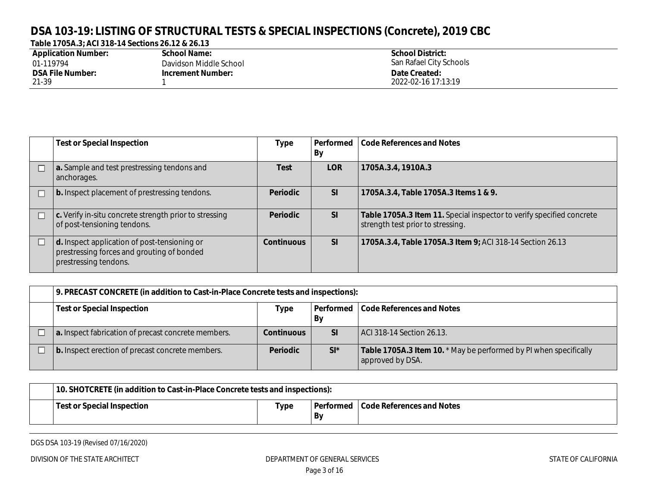## **DSA 103-19: LISTING OF STRUCTURAL TESTS & SPECIAL INSPECTIONS (Concrete), 2019 CBC**

| Table 1705A.3; ACI 318-14 Sections 26.12 & 26.13 |  |  |
|--------------------------------------------------|--|--|
|--------------------------------------------------|--|--|

| <b>Application Number:</b> | School Name:             | <b>School District:</b> |
|----------------------------|--------------------------|-------------------------|
| 01-119794                  | Davidson Middle School   | San Rafael City Schools |
| <b>DSA File Number:</b>    | <b>Increment Number:</b> | Date Created:           |
| 21-39                      |                          | 2022-02-16 17:13:19     |

| <b>Test or Special Inspection</b>                                                                                   | <b>Type</b>       | Performed<br>By | Code References and Notes                                                                                  |
|---------------------------------------------------------------------------------------------------------------------|-------------------|-----------------|------------------------------------------------------------------------------------------------------------|
| a. Sample and test prestressing tendons and<br>anchorages.                                                          | Test              | <b>LOR</b>      | 1705A.3.4, 1910A.3                                                                                         |
| <b>b.</b> Inspect placement of prestressing tendons.                                                                | <b>Periodic</b>   | <b>SI</b>       | 1705A.3.4, Table 1705A.3 Items 1 & 9.                                                                      |
| $\vert$ c. Verify in-situ concrete strength prior to stressing<br>of post-tensioning tendons.                       | <b>Periodic</b>   | <b>SI</b>       | Table 1705A.3 Item 11. Special inspector to verify specified concrete<br>strength test prior to stressing. |
| d. Inspect application of post-tensioning or<br>prestressing forces and grouting of bonded<br>prestressing tendons. | <b>Continuous</b> | <b>SI</b>       | 1705A.3.4, Table 1705A.3 Item 9; ACI 318-14 Section 26.13                                                  |

|                                                                                             | 9. PRECAST CONCRETE (in addition to Cast-in-Place Concrete tests and inspections): |                   |           |                                                                                       |  |
|---------------------------------------------------------------------------------------------|------------------------------------------------------------------------------------|-------------------|-----------|---------------------------------------------------------------------------------------|--|
| <b>Test or Special Inspection</b><br>Code References and Notes<br>  Performed<br>Type<br>By |                                                                                    |                   |           |                                                                                       |  |
|                                                                                             | a. Inspect fabrication of precast concrete members.                                | <b>Continuous</b> | <b>SI</b> | ACI 318-14 Section 26.13.                                                             |  |
|                                                                                             | <b>b.</b> Inspect erection of precast concrete members.                            | <b>Periodic</b>   | $SI^*$    | Table 1705A.3 Item 10. * May be performed by PI when specifically<br>approved by DSA. |  |

| 10. SHOTCRETE (in addition to Cast-in-Place Concrete tests and inspections): |      |    |                                       |
|------------------------------------------------------------------------------|------|----|---------------------------------------|
| Test or Special Inspection                                                   | Type | Bv | Performed   Code References and Notes |

DGS DSA 103-19 (Revised 07/16/2020)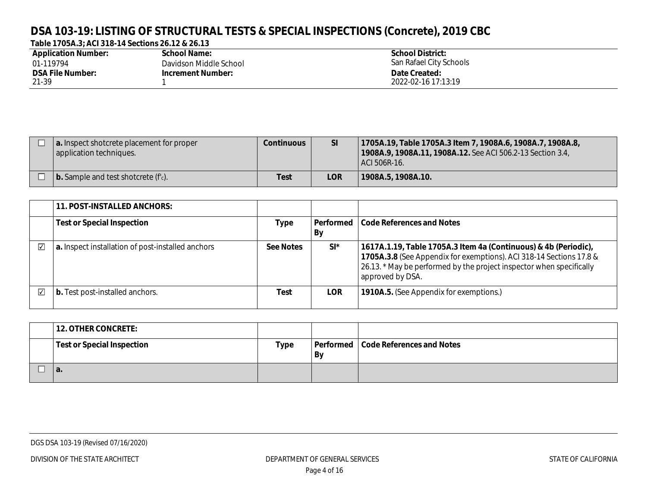## **DSA 103-19: LISTING OF STRUCTURAL TESTS & SPECIAL INSPECTIONS (Concrete), 2019 CBC**

#### **Table 1705A.3; ACI 318-14 Sections 26.12 & 26.13**

| <b>Application Number:</b> | School Name:             | <b>School District:</b> |
|----------------------------|--------------------------|-------------------------|
| 01-119794                  | Davidson Middle School   | San Rafael City Schools |
| <b>DSA File Number:</b>    | <b>Increment Number:</b> | Date Created:           |
| 21-39                      |                          | 2022-02-16 17:13:19     |

| a. Inspect shotcrete placement for proper<br>application techniques. | <b>Continuous</b> | <b>SI</b>  | 1705A.19, Table 1705A.3 Item 7, 1908A.6, 1908A.7, 1908A.8,<br>1908A.9, 1908A.11, 1908A.12. See ACI 506.2-13 Section 3.4,<br>ACI 506R-16. |
|----------------------------------------------------------------------|-------------------|------------|------------------------------------------------------------------------------------------------------------------------------------------|
| $\vert$ b. Sample and test shotcrete ( $f_c$ ).                      | <b>Test</b>       | <b>LOR</b> | 1908A.5, 1908A.10.                                                                                                                       |

|   | <b>11. POST-INSTALLED ANCHORS:</b>                |                  |                 |                                                                                                                                                                                                                                    |
|---|---------------------------------------------------|------------------|-----------------|------------------------------------------------------------------------------------------------------------------------------------------------------------------------------------------------------------------------------------|
|   | <b>Test or Special Inspection</b>                 | Type             | Performed<br>By | <b>Code References and Notes</b>                                                                                                                                                                                                   |
| ⊽ | a. Inspect installation of post-installed anchors | <b>See Notes</b> | $SI^*$          | 1617A.1.19, Table 1705A.3 Item 4a (Continuous) & 4b (Periodic),<br>1705A.3.8 (See Appendix for exemptions). ACI 318-14 Sections 17.8 &<br>26.13. * May be performed by the project inspector when specifically<br>approved by DSA. |
| ⊽ | b. Test post-installed anchors.                   | Test             | <b>LOR</b>      | 1910A.5. (See Appendix for exemptions.)                                                                                                                                                                                            |

| <b>12. OTHER CONCRETE:</b>        |      |    |                                       |
|-----------------------------------|------|----|---------------------------------------|
| <b>Test or Special Inspection</b> | Type | By | Performed   Code References and Notes |
| а.                                |      |    |                                       |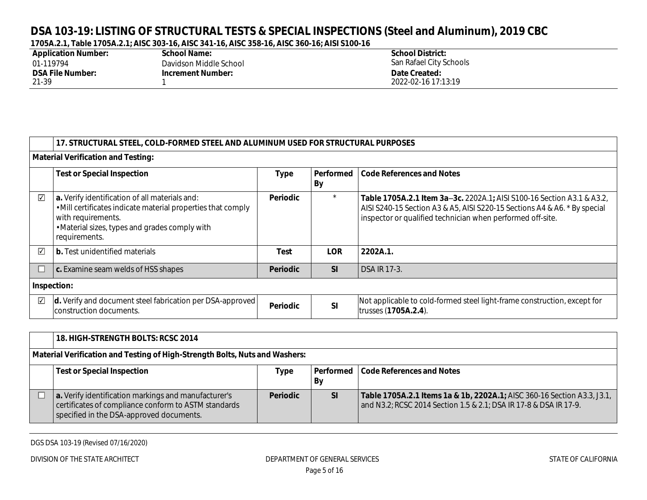| <b>Application Number:</b> | <b>School Name:</b>      | <b>School District:</b> |
|----------------------------|--------------------------|-------------------------|
| 01-119794                  | Davidson Middle School   | San Rafael City Schools |
| <b>DSA File Number:</b>    | <b>Increment Number:</b> | Date Created:           |
| 21-39                      |                          | 2022-02-16 17:13:19     |

|                         | 17. STRUCTURAL STEEL, COLD-FORMED STEEL AND ALUMINUM USED FOR STRUCTURAL PURPOSES                                                                                                                       |                 |                 |                                                                                                                                                                                                                   |  |  |  |
|-------------------------|---------------------------------------------------------------------------------------------------------------------------------------------------------------------------------------------------------|-----------------|-----------------|-------------------------------------------------------------------------------------------------------------------------------------------------------------------------------------------------------------------|--|--|--|
|                         | <b>Material Verification and Testing:</b>                                                                                                                                                               |                 |                 |                                                                                                                                                                                                                   |  |  |  |
|                         | <b>Test or Special Inspection</b>                                                                                                                                                                       | <b>Type</b>     | Performed<br>By | <b>Code References and Notes</b>                                                                                                                                                                                  |  |  |  |
| $\sqrt{}$               | a. Verify identification of all materials and:<br>. Mill certificates indicate material properties that comply<br>with requirements.<br>• Material sizes, types and grades comply with<br>requirements. | <b>Periodic</b> | $\star$         | Table 1705A.2.1 Item 3a 3c. 2202A.1; AISI S100-16 Section A3.1 & A3.2.<br>AISI S240-15 Section A3 & A5, AISI S220-15 Sections A4 & A6. * By special<br>inspector or qualified technician when performed off-site. |  |  |  |
| $\overline{\mathbf{v}}$ | <b>b.</b> Test unidentified materials                                                                                                                                                                   | Test            | <b>LOR</b>      | 2202A.1.                                                                                                                                                                                                          |  |  |  |
| L                       | c. Examine seam welds of HSS shapes                                                                                                                                                                     | <b>Periodic</b> | SI              | <b>DSA IR 17-3.</b>                                                                                                                                                                                               |  |  |  |
| Inspection:             |                                                                                                                                                                                                         |                 |                 |                                                                                                                                                                                                                   |  |  |  |
| $\blacktriangledown$    | d. Verify and document steel fabrication per DSA-approved<br>construction documents.                                                                                                                    | <b>Periodic</b> | <b>SI</b>       | Not applicable to cold-formed steel light-frame construction, except for<br>trusses (1705A.2.4).                                                                                                                  |  |  |  |

|                                                                             | <b>18. HIGH-STRENGTH BOLTS: RCSC 2014</b>                                                                                                                |                 |                 |                                                                                                                                              |  |  |
|-----------------------------------------------------------------------------|----------------------------------------------------------------------------------------------------------------------------------------------------------|-----------------|-----------------|----------------------------------------------------------------------------------------------------------------------------------------------|--|--|
| Material Verification and Testing of High-Strength Bolts, Nuts and Washers: |                                                                                                                                                          |                 |                 |                                                                                                                                              |  |  |
|                                                                             | <b>Test or Special Inspection</b>                                                                                                                        | Type            | Performed<br>By | Code References and Notes                                                                                                                    |  |  |
|                                                                             | a. Verify identification markings and manufacturer's<br>certificates of compliance conform to ASTM standards<br>specified in the DSA-approved documents. | <b>Periodic</b> | <b>SI</b>       | Table 1705A.2.1 Items 1a & 1b, 2202A.1; AISC 360-16 Section A3.3, J3.1,<br>and N3.2; RCSC 2014 Section 1.5 & 2.1; DSA IR 17-8 & DSA IR 17-9. |  |  |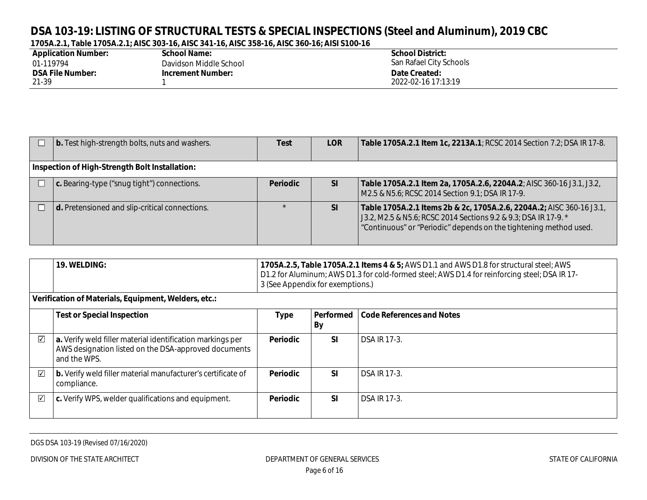| <b>Application Number:</b> | <b>School Name:</b>      | <b>School District:</b> |
|----------------------------|--------------------------|-------------------------|
| 01-119794                  | Davidson Middle School   | San Rafael City Schools |
| <b>DSA File Number:</b>    | <b>Increment Number:</b> | Date Created:           |
| 21-39                      |                          | 2022-02-16 17:13:19     |

| <b>b.</b> Test high-strength bolts, nuts and washers.  | Test            | <b>LOR</b> | Table 1705A.2.1 Item 1c, 2213A.1; RCSC 2014 Section 7.2; DSA IR 17-8.                                                                                                                                        |  |  |
|--------------------------------------------------------|-----------------|------------|--------------------------------------------------------------------------------------------------------------------------------------------------------------------------------------------------------------|--|--|
| Inspection of High-Strength Bolt Installation:         |                 |            |                                                                                                                                                                                                              |  |  |
| $\mathbf c$ . Bearing-type ("snug tight") connections. | <b>Periodic</b> | <b>SI</b>  | Table 1705A.2.1 Item 2a, 1705A.2.6, 2204A.2; AISC 360-16 J3.1, J3.2,<br>M2.5 & N5.6; RCSC 2014 Section 9.1; DSA IR 17-9.                                                                                     |  |  |
| d. Pretensioned and slip-critical connections.         |                 | <b>SI</b>  | Table 1705A.2.1 Items 2b & 2c, 1705A.2.6, 2204A.2; AISC 360-16 J3.1,<br>J3.2, M2.5 & N5.6; RCSC 2014 Sections 9.2 & 9.3; DSA IR 17-9. *<br>"Continuous" or "Periodic" depends on the tightening method used. |  |  |

| <b>19. WELDING:</b>                                  | 1705A.2.5, Table 1705A.2.1 Items 4 & 5; AWS D1.1 and AWS D1.8 for structural steel; AWS<br>D1.2 for Aluminum; AWS D1.3 for cold-formed steel; AWS D1.4 for reinforcing steel; DSA IR 17-<br>3 (See Appendix for exemptions.) |
|------------------------------------------------------|------------------------------------------------------------------------------------------------------------------------------------------------------------------------------------------------------------------------------|
| Verification of Materials, Equipment, Welders, etc.: |                                                                                                                                                                                                                              |

|                         | <b>Test or Special Inspection</b>                                                                                                  | <b>Type</b>     | Performed<br>By | Code References and Notes |
|-------------------------|------------------------------------------------------------------------------------------------------------------------------------|-----------------|-----------------|---------------------------|
| ☑                       | a. Verify weld filler material identification markings per<br>AWS designation listed on the DSA-approved documents<br>and the WPS. | <b>Periodic</b> | <b>SI</b>       | <b>DSA IR 17-3.</b>       |
| $\overline{\mathbf{v}}$ | b. Verify weld filler material manufacturer's certificate of<br>compliance.                                                        | <b>Periodic</b> | <b>SI</b>       | <b>DSA IR 17-3.</b>       |
| $\overline{\checkmark}$ | c. Verify WPS, welder qualifications and equipment.                                                                                | <b>Periodic</b> | <b>SI</b>       | <b>DSA IR 17-3.</b>       |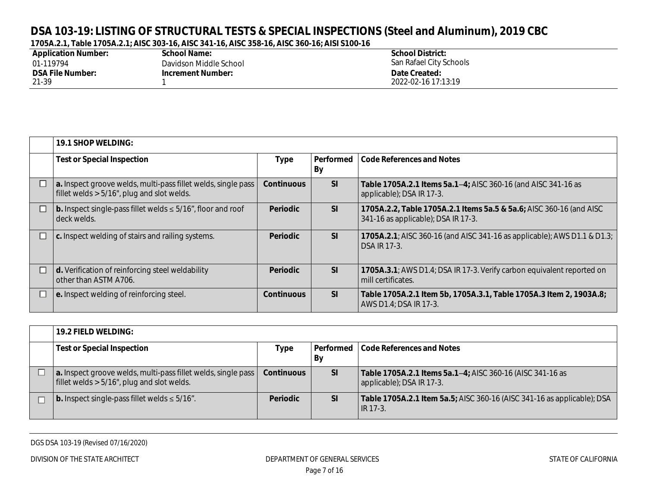| <b>Application Number:</b> | <b>School Name:</b>      | <b>School District:</b> |
|----------------------------|--------------------------|-------------------------|
| 01-119794                  | Davidson Middle School   | San Rafael City Schools |
| <b>DSA File Number:</b>    | <b>Increment Number:</b> | Date Created:           |
| 21-39                      |                          | 2022-02-16 17:13:19     |

| <b>19.1 SHOP WELDING:</b>                                                                                      |                   |           |                                                                                                            |  |  |
|----------------------------------------------------------------------------------------------------------------|-------------------|-----------|------------------------------------------------------------------------------------------------------------|--|--|
| <b>Test or Special Inspection</b>                                                                              | <b>Type</b>       | By        | Performed   Code References and Notes                                                                      |  |  |
| a. Inspect groove welds, multi-pass fillet welds, single pass<br>fillet welds $> 5/16$ ", plug and slot welds. | <b>Continuous</b> | <b>SI</b> | Table 1705A.2.1 Items 5a.1 4; AISC 360-16 (and AISC 341-16 as<br>applicable); DSA IR 17-3.                 |  |  |
| $\vert$ b. Inspect single-pass fillet welds $\leq 5/16$ , floor and roof<br>deck welds.                        | <b>Periodic</b>   | <b>SI</b> | 1705A.2.2, Table 1705A.2.1 Items 5a.5 & 5a.6; AISC 360-16 (and AISC<br>341-16 as applicable); DSA IR 17-3. |  |  |
| $\vert$ c. Inspect welding of stairs and railing systems.                                                      | <b>Periodic</b>   | SI        | <b>1705A.2.1;</b> AISC 360-16 (and AISC 341-16 as applicable); AWS D1.1 & D1.3;<br><b>DSA IR 17-3.</b>     |  |  |
| d. Verification of reinforcing steel weldability<br>other than ASTM A706.                                      | <b>Periodic</b>   | SI        | 1705A.3.1; AWS D1.4; DSA IR 17-3. Verify carbon equivalent reported on<br>mill certificates.               |  |  |
| $\vert$ e. Inspect welding of reinforcing steel.                                                               | <b>Continuous</b> | <b>SI</b> | Table 1705A.2.1 Item 5b, 1705A.3.1, Table 1705A.3 Item 2, 1903A.8;<br>AWS D1.4; DSA IR 17-3.               |  |  |

| <b>19.2 FIELD WELDING:</b>                                                                                     |                   |                 |                                                                                        |  |
|----------------------------------------------------------------------------------------------------------------|-------------------|-----------------|----------------------------------------------------------------------------------------|--|
| <b>Test or Special Inspection</b>                                                                              | Type              | Performed<br>By | Code References and Notes                                                              |  |
|                                                                                                                |                   |                 |                                                                                        |  |
| a. Inspect groove welds, multi-pass fillet welds, single pass<br>fillet welds $> 5/16$ ", plug and slot welds. | <b>Continuous</b> | <b>SI</b>       | Table 1705A.2.1 Items 5a.1 4; AISC 360-16 (AISC 341-16 as<br>applicable); DSA IR 17-3. |  |
| <b>b.</b> Inspect single-pass fillet welds $\leq 5/16$ ".                                                      | <b>Periodic</b>   | <b>SI</b>       | Table 1705A.2.1 Item 5a.5; AISC 360-16 (AISC 341-16 as applicable); DSA<br>IR 17-3.    |  |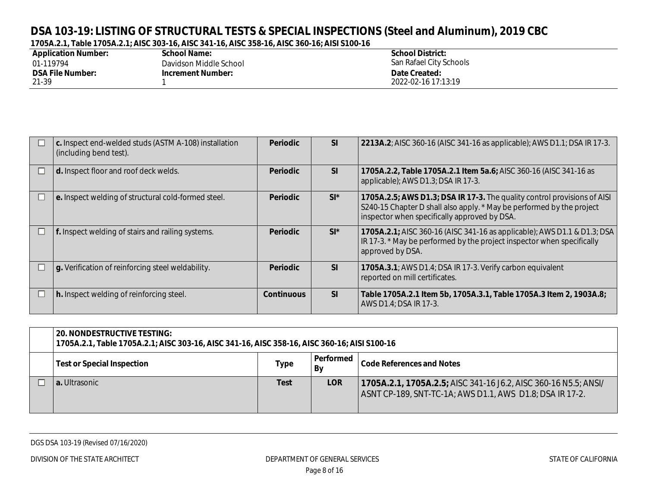| <b>Application Number:</b> | <b>School Name:</b>      | <b>School District:</b> |
|----------------------------|--------------------------|-------------------------|
| 01-119794                  | Davidson Middle School   | San Rafael City Schools |
| <b>DSA File Number:</b>    | <b>Increment Number:</b> | Date Created:           |
| 21-39                      |                          | 2022-02-16 17:13:19     |

|   | c. Inspect end-welded studs (ASTM A-108) installation<br>(including bend test). | <b>Periodic</b>   | <b>SI</b> | 2213A.2; AISC 360-16 (AISC 341-16 as applicable); AWS D1.1; DSA IR 17-3.                                                                                                                          |
|---|---------------------------------------------------------------------------------|-------------------|-----------|---------------------------------------------------------------------------------------------------------------------------------------------------------------------------------------------------|
|   | d. Inspect floor and roof deck welds.                                           | <b>Periodic</b>   | SI        | 1705A.2.2, Table 1705A.2.1 Item 5a.6; AISC 360-16 (AISC 341-16 as<br>applicable); AWS D1.3; DSA IR 17-3.                                                                                          |
| ∟ | e. Inspect welding of structural cold-formed steel.                             | <b>Periodic</b>   | $SI^*$    | 1705A.2.5; AWS D1.3; DSA IR 17-3. The quality control provisions of AISI<br>S240-15 Chapter D shall also apply. * May be performed by the project<br>inspector when specifically approved by DSA. |
| L | f. Inspect welding of stairs and railing systems.                               | <b>Periodic</b>   | $SI^*$    | 1705A.2.1; AISC 360-16 (AISC 341-16 as applicable); AWS D1.1 & D1.3; DSA<br>IR 17-3. * May be performed by the project inspector when specifically<br>approved by DSA.                            |
|   | g. Verification of reinforcing steel weldability.                               | <b>Periodic</b>   | <b>SI</b> | 1705A.3.1; AWS D1.4; DSA IR 17-3. Verify carbon equivalent<br>reported on mill certificates.                                                                                                      |
| L | h. Inspect welding of reinforcing steel.                                        | <b>Continuous</b> | <b>SI</b> | Table 1705A.2.1 Item 5b, 1705A.3.1, Table 1705A.3 Item 2, 1903A.8;<br>AWS D1.4; DSA IR 17-3.                                                                                                      |

| <b>20. NONDESTRUCTIVE TESTING:</b><br>1705A.2.1, Table 1705A.2.1; AISC 303-16, AISC 341-16, AISC 358-16, AISC 360-16; AISI S100-16 |             |            |                                                                                                                             |  |  |  |
|------------------------------------------------------------------------------------------------------------------------------------|-------------|------------|-----------------------------------------------------------------------------------------------------------------------------|--|--|--|
| Performed<br><b>Code References and Notes</b><br><b>Test or Special Inspection</b><br>Type<br>Bv                                   |             |            |                                                                                                                             |  |  |  |
| <b>a.</b> Ultrasonic                                                                                                               | <b>Test</b> | <b>LOR</b> | 1705A.2.1, 1705A.2.5; AISC 341-16 J6.2, AISC 360-16 N5.5; ANSI/<br>ASNT CP-189, SNT-TC-1A; AWS D1.1, AWS D1.8; DSA IR 17-2. |  |  |  |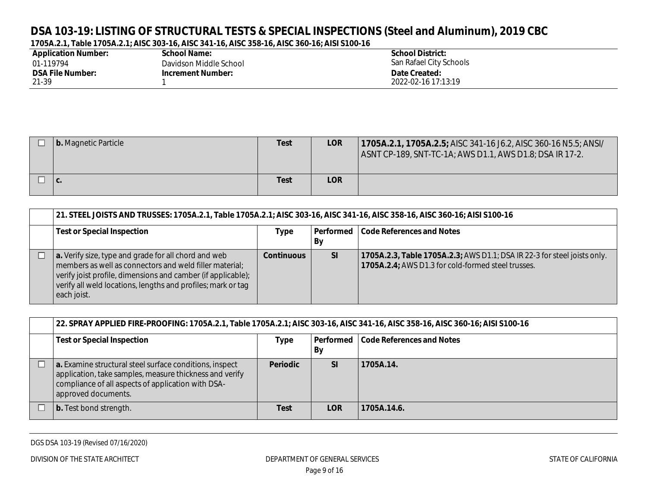| <b>Application Number:</b> | School Name:             | <b>School District:</b> |
|----------------------------|--------------------------|-------------------------|
| 01-119794                  | Davidson Middle School   | San Rafael City Schools |
| <b>DSA File Number:</b>    | <b>Increment Number:</b> | Date Created:           |
| 21-39                      |                          | 2022-02-16 17:13:19     |

| b. Magnetic Particle | Test        | <b>LOR</b> | 1705A.2.1, 1705A.2.5; AISC 341-16 J6.2, AISC 360-16 N5.5; ANSI/<br>  ASNT CP-189, SNT-TC-1A; AWS D1.1, AWS D1.8; DSA IR 17-2. |
|----------------------|-------------|------------|-------------------------------------------------------------------------------------------------------------------------------|
| v.                   | <b>Test</b> | <b>LOR</b> |                                                                                                                               |

| 21. STEEL JOISTS AND TRUSSES: 1705A.2.1, Table 1705A.2.1; AISC 303-16, AISC 341-16, AISC 358-16, AISC 360-16; AISI S100-16                                                                                                                                     |                   |           |                                                                                                                                |  |  |
|----------------------------------------------------------------------------------------------------------------------------------------------------------------------------------------------------------------------------------------------------------------|-------------------|-----------|--------------------------------------------------------------------------------------------------------------------------------|--|--|
| <b>Test or Special Inspection</b>                                                                                                                                                                                                                              | Type              | Performed | Code References and Notes                                                                                                      |  |  |
|                                                                                                                                                                                                                                                                |                   | Bγ        |                                                                                                                                |  |  |
| a. Verify size, type and grade for all chord and web<br>members as well as connectors and weld filler material;<br>verify joist profile, dimensions and camber (if applicable);<br>verify all weld locations, lengths and profiles; mark or tag<br>each joist. | <b>Continuous</b> | <b>SI</b> | 1705A.2.3, Table 1705A.2.3; AWS D1.1; DSA IR 22-3 for steel joists only.<br>1705A.2.4; AWS D1.3 for cold-formed steel trusses. |  |  |

| 22. SPRAY APPLIED FIRE-PROOFING: 1705A.2.1, Table 1705A.2.1; AISC 303-16, AISC 341-16, AISC 358-16, AISC 360-16; AISI S100-16                                                                   |                 |                 |                           |  |  |  |
|-------------------------------------------------------------------------------------------------------------------------------------------------------------------------------------------------|-----------------|-----------------|---------------------------|--|--|--|
| <b>Test or Special Inspection</b>                                                                                                                                                               | <b>Type</b>     | Performed<br>By | Code References and Notes |  |  |  |
| a. Examine structural steel surface conditions, inspect<br>application, take samples, measure thickness and verify<br>compliance of all aspects of application with DSA-<br>approved documents. | <b>Periodic</b> | <b>SI</b>       | 1705A.14.                 |  |  |  |
| <b>b.</b> Test bond strength.                                                                                                                                                                   | Test            | <b>LOR</b>      | 1705A.14.6.               |  |  |  |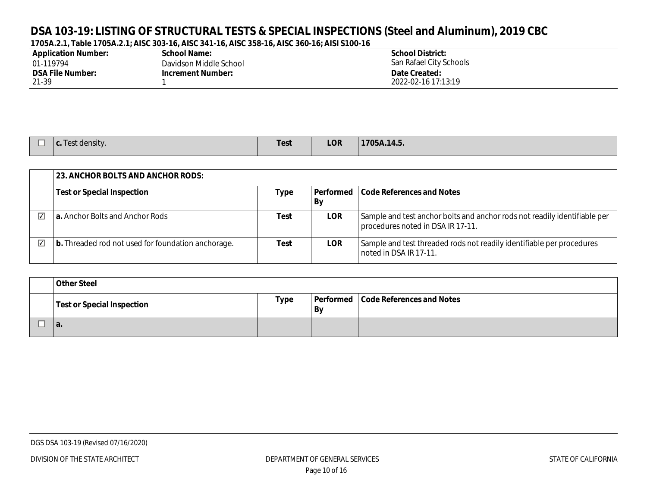| <b>Application Number:</b> | <b>School Name:</b>      | <b>School District:</b> |
|----------------------------|--------------------------|-------------------------|
| 01-119794                  | Davidson Middle School   | San Rafael City Schools |
| <b>DSA File Number:</b>    | <b>Increment Number:</b> | Date Created:           |
| 21-39                      |                          | 2022-02-16 17:13:19     |

| $-$<br><b>c.</b> Test density. | <b>Test</b> | <b>LOR</b> | 1705A.14.5. |
|--------------------------------|-------------|------------|-------------|
|                                |             |            |             |

|                         | 23. ANCHOR BOLTS AND ANCHOR RODS:                  |      |                 |                                                                                                                |  |  |  |
|-------------------------|----------------------------------------------------|------|-----------------|----------------------------------------------------------------------------------------------------------------|--|--|--|
|                         | <b>Test or Special Inspection</b>                  | Type | Performed<br>Bv | Code References and Notes                                                                                      |  |  |  |
| $\overline{\mathsf{v}}$ | <b>a.</b> Anchor Bolts and Anchor Rods             | Test | <b>LOR</b>      | Sample and test anchor bolts and anchor rods not readily identifiable per<br>procedures noted in DSA IR 17-11. |  |  |  |
| ☑                       | b. Threaded rod not used for foundation anchorage. | Test | <b>LOR</b>      | Sample and test threaded rods not readily identifiable per procedures<br>noted in DSA IR 17-11.                |  |  |  |

| <b>Other Steel</b>                |             |           |                                       |  |  |
|-----------------------------------|-------------|-----------|---------------------------------------|--|--|
| <b>Test or Special Inspection</b> | <b>Type</b> | <b>By</b> | Performed   Code References and Notes |  |  |
| а.                                |             |           |                                       |  |  |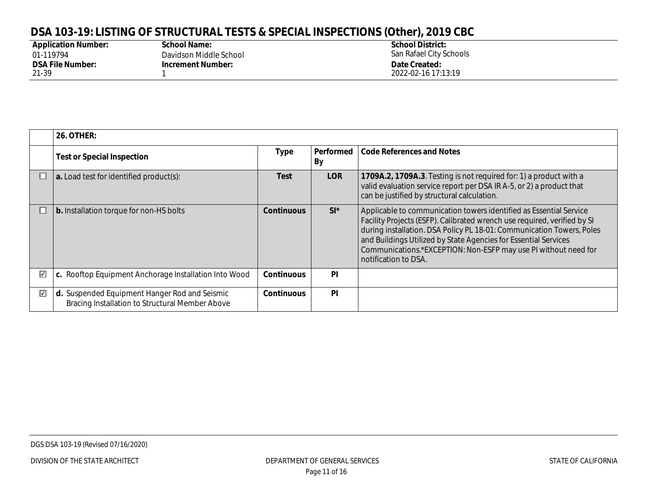## **DSA 103-19: LISTING OF STRUCTURAL TESTS & SPECIAL INSPECTIONS (Other), 2019 CBC**

| <b>Application Number:</b> |
|----------------------------|
| 01-119794                  |
| <b>DSA File Number:</b>    |
| 21-39                      |

**School Name:** Davidson Middle School **Increment Number:** 1

**School District:** San Rafael City Schools **Date Created:** 2022-02-16 17:13:19

|            | <b>26. OTHER:</b>                                                                                |                   |                 |                                                                                                                                                                                                                                                                                                                                                                                       |  |  |  |
|------------|--------------------------------------------------------------------------------------------------|-------------------|-----------------|---------------------------------------------------------------------------------------------------------------------------------------------------------------------------------------------------------------------------------------------------------------------------------------------------------------------------------------------------------------------------------------|--|--|--|
|            | <b>Test or Special Inspection</b>                                                                | <b>Type</b>       | Performed<br>By | <b>Code References and Notes</b>                                                                                                                                                                                                                                                                                                                                                      |  |  |  |
|            | $ $ a. Load test for identified product(s):                                                      | <b>Test</b>       | <b>LOR</b>      | 1709A.2, 1709A.3. Testing is not required for: 1) a product with a<br>valid evaluation service report per DSA IR A-5, or 2) a product that<br>can be justified by structural calculation.                                                                                                                                                                                             |  |  |  |
|            | b. Installation torque for non-HS bolts                                                          | <b>Continuous</b> | $SI^*$          | Applicable to communication towers identified as Essential Service<br>Facility Projects (ESFP). Calibrated wrench use required, verified by SI<br>during installation. DSA Policy PL 18-01: Communication Towers, Poles<br>and Buildings Utilized by State Agencies for Essential Services<br>Communications.*EXCEPTION: Non-ESFP may use PI without need for<br>notification to DSA. |  |  |  |
| $\sqrt{2}$ | c. Rooftop Equipment Anchorage Installation Into Wood                                            | <b>Continuous</b> | <b>PI</b>       |                                                                                                                                                                                                                                                                                                                                                                                       |  |  |  |
| ☑          | d. Suspended Equipment Hanger Rod and Seismic<br>Bracing Installation to Structural Member Above | <b>Continuous</b> | <b>PI</b>       |                                                                                                                                                                                                                                                                                                                                                                                       |  |  |  |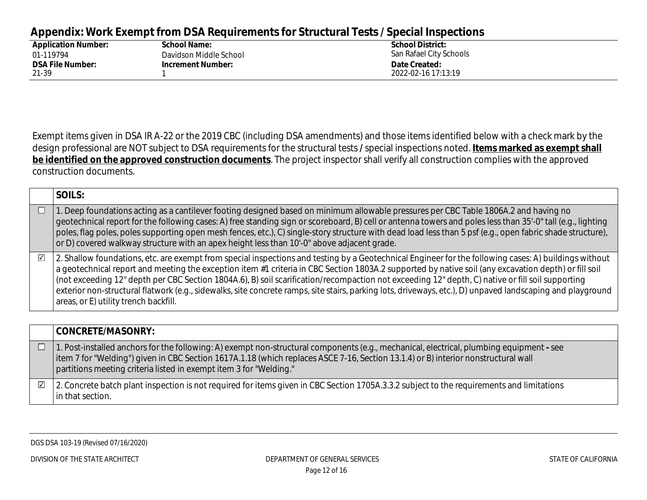#### **Appendix: Work Exempt from DSA Requirements for Structural Tests / Special Inspections**

| <b>Application Number:</b> | <b>School Name:</b>      | <b>School District:</b> |
|----------------------------|--------------------------|-------------------------|
| 01-119794                  | Davidson Middle School   | San Rafael City Schools |
| <b>DSA File Number:</b>    | <b>Increment Number:</b> | Date Created:           |
| 21-39                      |                          | 2022-02-16 17:13:19     |

Exempt items given in DSA IR A-22 or the 2019 CBC (including DSA amendments) and those items identified below with a check mark by the design professional are NOT subject to DSA requirements for the structural tests **/** special inspections noted. **Items marked as exempt shall be identified on the approved construction documents**. The project inspector shall verify all construction complies with the approved construction documents.

|                         | SOILS:                                                                                                                                                                                                                                                                                                                                                                                                                                                                                                                                                                                                                                                                          |
|-------------------------|---------------------------------------------------------------------------------------------------------------------------------------------------------------------------------------------------------------------------------------------------------------------------------------------------------------------------------------------------------------------------------------------------------------------------------------------------------------------------------------------------------------------------------------------------------------------------------------------------------------------------------------------------------------------------------|
|                         | 1. Deep foundations acting as a cantilever footing designed based on minimum allowable pressures per CBC Table 1806A.2 and having no<br>geotechnical report for the following cases: A) free standing sign or scoreboard, B) cell or antenna towers and poles less than 35'-0" tall (e.g., lighting<br>poles, flag poles, poles supporting open mesh fences, etc.), C) single-story structure with dead load less than 5 psf (e.g., open fabric shade structure),<br>or D) covered walkway structure with an apex height less than 10'-0" above adjacent grade.                                                                                                                 |
| $\overline{\mathbf{v}}$ | 2. Shallow foundations, etc. are exempt from special inspections and testing by a Geotechnical Engineer for the following cases: A) buildings without<br>$\mid$ a geotechnical report and meeting the exception item #1 criteria in CBC Section 1803A.2 supported by native soil (any excavation depth) or fill soil<br>(not exceeding 12" depth per CBC Section 1804A.6), B) soil scarification/recompaction not exceeding 12" depth, C) native or fill soil supporting<br>exterior non-structural flatwork (e.g., sidewalks, site concrete ramps, site stairs, parking lots, driveways, etc.), D) unpaved landscaping and playground<br>areas, or E) utility trench backfill. |

|                         | <b>CONCRETE/MASONRY:</b>                                                                                                                                                                                                                                                                                                                               |
|-------------------------|--------------------------------------------------------------------------------------------------------------------------------------------------------------------------------------------------------------------------------------------------------------------------------------------------------------------------------------------------------|
|                         | 1. Post-installed anchors for the following: A) exempt non-structural components (e.g., mechanical, electrical, plumbing equipment - see<br>item 7 for "Welding") given in CBC Section 1617A.1.18 (which replaces ASCE 7-16, Section 13.1.4) or B) interior nonstructural wall<br>  partitions meeting criteria listed in exempt item 3 for "Welding." |
| $\overline{\mathbf{v}}$ | 2. Concrete batch plant inspection is not required for items given in CBC Section 1705A.3.3.2 subject to the requirements and limitations<br>in that section.                                                                                                                                                                                          |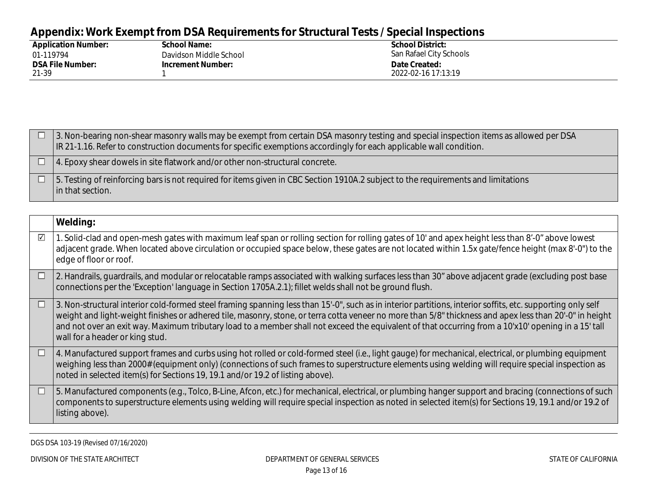## **Appendix: Work Exempt from DSA Requirements for Structural Tests / Special Inspections**

| <b>Application Number:</b> | <b>School Name:</b>      | <b>School District:</b> |
|----------------------------|--------------------------|-------------------------|
| 01-119794                  | Davidson Middle School   | San Rafael City Schools |
| <b>DSA File Number:</b>    | <b>Increment Number:</b> | Date Created:           |
| 21-39                      |                          | 2022-02-16 17:13:19     |

|  | 3. Non-bearing non-shear masonry walls may be exempt from certain DSA masonry testing and special inspection items as allowed per DSA<br>IR 21-1.16. Refer to construction documents for specific exemptions accordingly for each applicable wall condition. |
|--|--------------------------------------------------------------------------------------------------------------------------------------------------------------------------------------------------------------------------------------------------------------|
|  | $\vert$ 4. Epoxy shear dowels in site flatwork and/or other non-structural concrete.                                                                                                                                                                         |
|  | $\Box$ 5. Testing of reinforcing bars is not required for items given in CBC Section 1910A.2 subject to the requirements and limitations<br>l in that section.                                                                                               |

|                  | Welding:                                                                                                                                                                                                                                                                                                                                                                                                                                                                                                         |
|------------------|------------------------------------------------------------------------------------------------------------------------------------------------------------------------------------------------------------------------------------------------------------------------------------------------------------------------------------------------------------------------------------------------------------------------------------------------------------------------------------------------------------------|
| $\sqrt{}$        | 1. Solid-clad and open-mesh gates with maximum leaf span or rolling section for rolling gates of 10' and apex height less than 8'-0" above lowest<br>adjacent grade. When located above circulation or occupied space below, these gates are not located within 1.5x gate/fence height (max 8'-0") to the<br>edge of floor or roof.                                                                                                                                                                              |
| $\Box$           | 2. Handrails, quardrails, and modular or relocatable ramps associated with walking surfaces less than 30" above adjacent grade (excluding post base<br>connections per the 'Exception' language in Section 1705A.2.1); fillet welds shall not be ground flush.                                                                                                                                                                                                                                                   |
| $\Box$           | 3. Non-structural interior cold-formed steel framing spanning less than 15'-0", such as in interior partitions, interior soffits, etc. supporting only self<br>weight and light-weight finishes or adhered tile, masonry, stone, or terra cotta veneer no more than 5/8" thickness and apex less than 20'-0" in height<br>and not over an exit way. Maximum tributary load to a member shall not exceed the equivalent of that occurring from a 10'x10' opening in a 15' tall<br>wall for a header or king stud. |
| $\Box$           | 4. Manufactured support frames and curbs using hot rolled or cold-formed steel (i.e., light gauge) for mechanical, electrical, or plumbing equipment<br>weighing less than 2000# (equipment only) (connections of such frames to superstructure elements using welding will require special inspection as<br>noted in selected item(s) for Sections 19, 19.1 and/or 19.2 of listing above).                                                                                                                      |
| <b>TELESCOPE</b> | 5. Manufactured components (e.g., Tolco, B-Line, Afcon, etc.) for mechanical, electrical, or plumbing hanger support and bracing (connections of such<br>components to superstructure elements using welding will require special inspection as noted in selected item(s) for Sections 19, 19.1 and/or 19.2 of<br>listing above).                                                                                                                                                                                |

DGS DSA 103-19 (Revised 07/16/2020)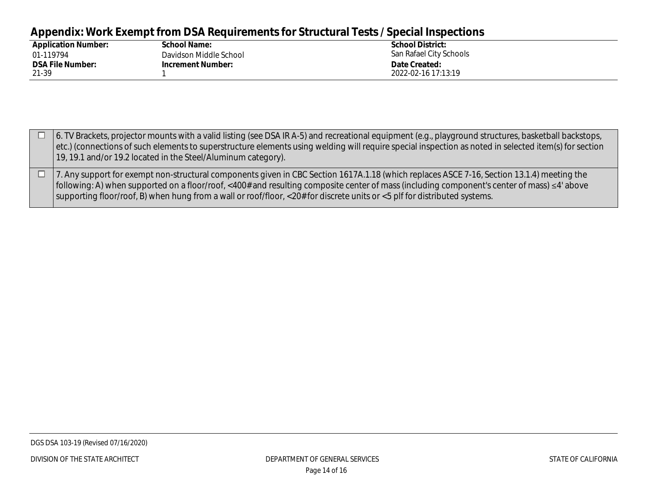## **Appendix: Work Exempt from DSA Requirements for Structural Tests / Special Inspections**

| <b>Application Number:</b> | <b>School Name:</b>      | <b>School District:</b> |
|----------------------------|--------------------------|-------------------------|
| 01-119794                  | Davidson Middle School   | San Rafael City Schools |
| <b>DSA File Number:</b>    | <b>Increment Number:</b> | Date Created:           |
| 21-39                      |                          | 2022-02-16 17:13:19     |

| 6. TV Brackets, projector mounts with a valid listing (see DSA IR A-5) and recreational equipment (e.g., playground structures, basketball backstops,<br>etc.) (connections of such elements to superstructure elements using welding will require special inspection as noted in selected item(s) for section<br>19, 19.1 and/or 19.2 located in the Steel/Aluminum category).                                          |
|--------------------------------------------------------------------------------------------------------------------------------------------------------------------------------------------------------------------------------------------------------------------------------------------------------------------------------------------------------------------------------------------------------------------------|
| 7. Any support for exempt non-structural components given in CBC Section 1617A.1.18 (which replaces ASCE 7-16, Section 13.1.4) meeting the<br>  following: A) when supported on a floor/roof, <400# and resulting composite center of mass (including component's center of mass) ≤4' above<br>supporting floor/roof, B) when hung from a wall or roof/floor, <20# for discrete units or <5 plf for distributed systems. |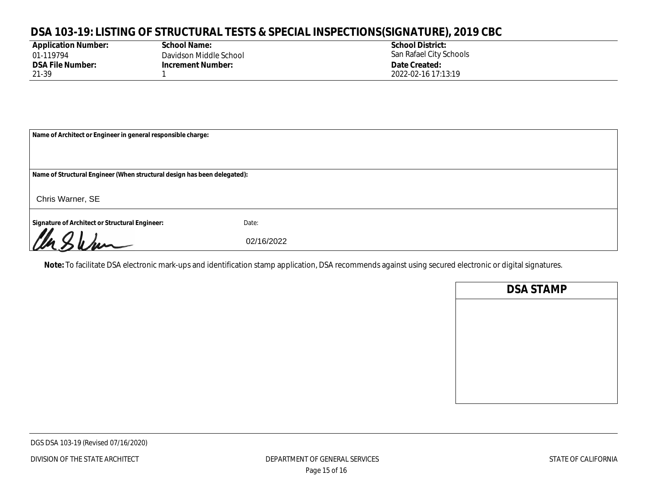### **DSA 103-19: LISTING OF STRUCTURAL TESTS & SPECIAL INSPECTIONS(SIGNATURE), 2019 CBC**

| <b>Application Number:</b> |
|----------------------------|
| 01-119794                  |
| <b>DSA File Number:</b>    |
| 21-39                      |

**School Name:** Davidson Middle School **Increment Number:** 1

**School District:** San Rafael City Schools **Date Created:** 2022-02-16 17:13:19

| Name of Architect or Engineer in general responsible charge:             |            |  |  |
|--------------------------------------------------------------------------|------------|--|--|
|                                                                          |            |  |  |
| Name of Structural Engineer (When structural design has been delegated): |            |  |  |
| Chris Warner, SE                                                         |            |  |  |
| Signature of Architect or Structural Engineer:                           | Date:      |  |  |
| Un Sham                                                                  | 02/16/2022 |  |  |

**Note:** To facilitate DSA electronic mark-ups and identification stamp application, DSA recommends against using secured electronic or digital signatures.

| <b>DSA STAMP</b> |  |
|------------------|--|
|                  |  |
|                  |  |
|                  |  |
|                  |  |
|                  |  |
|                  |  |